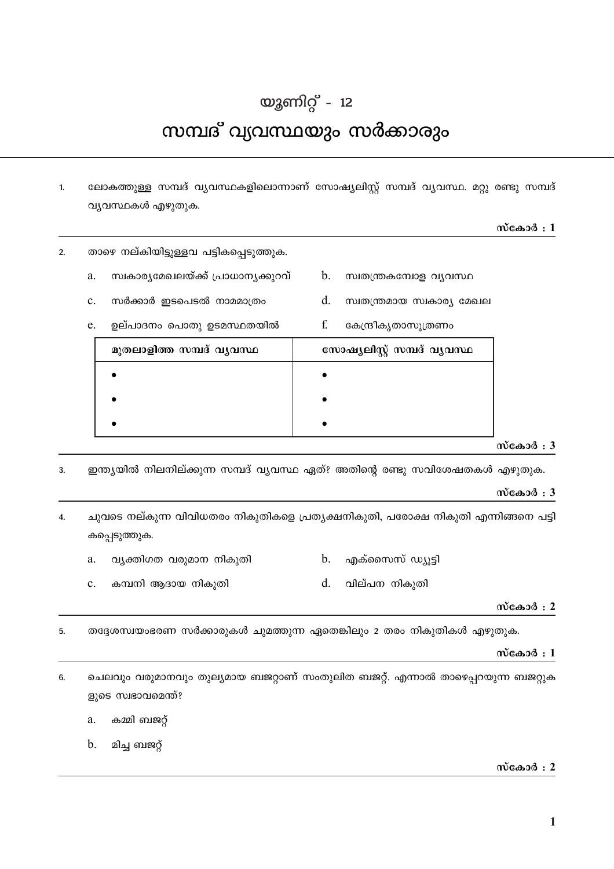# യൂണിറ്റ് - 12

# സമ്പദ് വ്യവസ്ഥയും സർക്കാരും

ലോകത്തുള്ള സമ്പദ് വൃവസ്ഥകളിലൊന്നാണ് സോഷ്യലിസ്റ്റ് സമ്പദ് വ്യവസ്ഥ. മറ്റു രണ്ടു സമ്പദ്  $\mathbf{1}$ വ്യവസ്ഥകൾ എഴുതുക.

 $d_{\cdot}$ 

 $\mathbf{f}$ 

സ്വതന്ത്രമായ സ്വകാര്യ മേഖല

കേന്ദ്രീകൃതാസൂത്രണം

# സ്കോർ $:1$

- താഴെ നല്കിയിട്ടുള്ളവ പട്ടികപ്പെടുത്തുക.  $\overline{2}$ .
	- സ്വകാര്യമേഖലയ്ക്ക് പ്രാധാന്യക്കുറവ്  $b<sub>1</sub>$ സ്വതന്ത്രകമ്പോള വ്യവസ്ഥ  $\mathbf{a}$ .
		- സർക്കാർ ഇടപെടൽ നാമമാത്രം  $\mathbf{c}$ .
		- ഉല്പാദനം പൊതു ഉടമസ്ഥതയിൽ e.

| മുതലാളിത്ത സമ്പദ് വൃവസ്ഥ | സോഷ്യലിസ്റ്റ് സമ്പദ് വ്യവസ്ഥ |
|--------------------------|------------------------------|
|                          |                              |
|                          |                              |
|                          |                              |

#### സ്കോർ $: 3$

ഇന്ത്യയിൽ നിലനില്ക്കുന്ന സമ്പദ് വ്യവസ്ഥ ഏത്? അതിന്റെ രണ്ടു സവിശേഷതകൾ എഴുതുക.  $\overline{3}$ .

# സ്കോർ $: 3$

ചുവടെ നല്കുന്ന വിവിധതരം നികുതികളെ പ്രതൃക്ഷനികുതി, പരോക്ഷ നികുതി എന്നിങ്ങനെ പട്ടി  $\overline{4}$ . കപ്പെടുത്തുക.

- എക്സൈസ് ഡ്യൂട്ടി വ്യക്തിഗത വരുമാന നികുതി  $\mathbf{b}$ . a.
- $d$ . വില്പന നികുതി  $\mathbf{c}$ . കമ്പനി ആദായ നികുതി

# സ്കോർ $: 2$

തദ്ദേശസ്വയംഭരണ സർക്കാരുകൾ ചുമത്തുന്ന ഏതെങ്കിലും 2 തരം നികുതികൾ എഴുതുക. 5.

# സ്കോർ $:1$

ചെലവും വരുമാനവും തുല്യമായ ബജറ്റാണ് സംതുലിത ബജറ്റ്. എന്നാൽ താഴെപ്പറയുന്ന ബജറ്റുക 6. ളുടെ സ്വഭാവമെന്ത്?

- കമ്മി ബജറ്റ്  $a<sub>1</sub>$
- $\mathbf{b}$ . മിച്ച ബജറ്റ്

# സ്കോർ $: 2$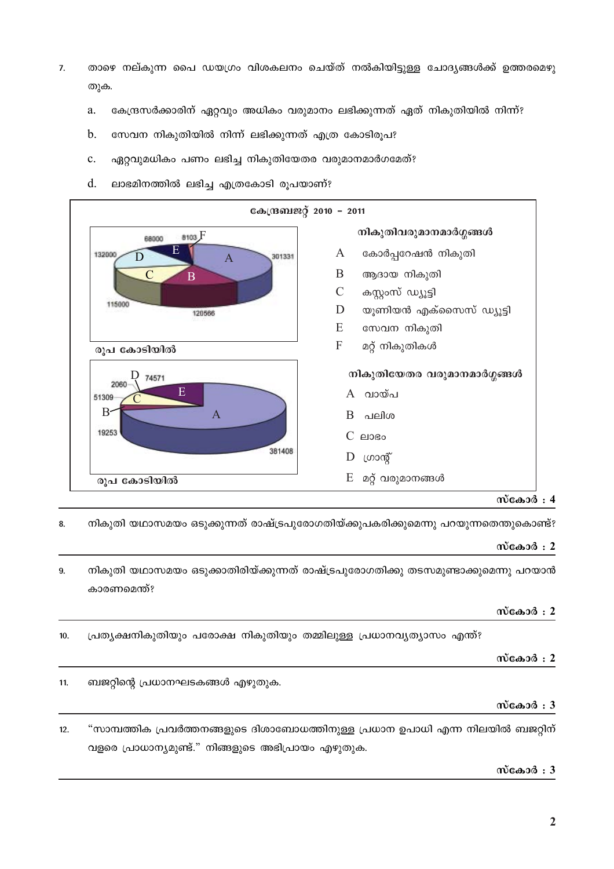- താഴെ നല്കുന്ന പൈ ഡയഗ്രം വിശകലനം ചെയ്ത് നൽകിയിട്ടുള്ള ചോദ്യങ്ങൾക്ക് ഉത്തരമെഴു  $\overline{7}$ . തുക.
	- കേന്ദ്രസർക്കാരിന് ഏറ്റവും അധികം വരുമാനം ലഭിക്കുന്നത് ഏത് നികുതിയിൽ നിന്ന്?  $\mathbf{a}$
	- $\mathbf b$ . സേവന നികുതിയിൽ നിന്ന് ലഭിക്കുന്നത് എത്ര കോടിരൂപ?
	- ഏറ്റവുമധികം പണം ലഭിച്ച നികുതിയേതര വരുമാനമാർഗമേത്?  $\mathbf{c}$ .
	- $d$ . ലാഭമിനത്തിൽ ലഭിച്ച എത്രകോടി രൂപയാണ്?



# സ്കോർ $: 4$

നികുതി യഥാസമയം ഒടുക്കുന്നത് രാഷ്ട്രപുരോഗതിയ്ക്കുപകരിക്കുമെന്നു പറയുന്നതെന്തുകൊണ്ട്? 8.

# സ്കോർ $: 2$

നികുതി യഥാസമയം ഒടുക്കാതിരിയ്ക്കുന്നത് രാഷ്ട്രപുരോഗതിക്കു തടസമുണ്ടാക്കുമെന്നു പറയാൻ 9. കാരണമെന്ത്?

# സ്കോർ $: 2$

പ്രത്യക്ഷനികുതിയും പരോക്ഷ നികുതിയും തമ്മിലുള്ള പ്രധാനവ്യത്യാസം എന്ത്?  $10.$ 

# സ്കോർ $: 2$

ബജറ്റിന്റെ പ്രധാനഘടകങ്ങൾ എഴുതുക.  $11.$ 

# സ്കോർ $: 3$

"സാമ്പത്തിക പ്രവർത്തനങ്ങളുടെ ദിശാബോധത്തിനുള്ള പ്രധാന ഉപാധി എന്ന നിലയിൽ ബജറ്റിന്  $12.$ വളരെ പ്രാധാന്യമുണ്ട്." നിങ്ങളുടെ അഭിപ്രായം എഴുതുക.

# സ്കോർ $: 3$